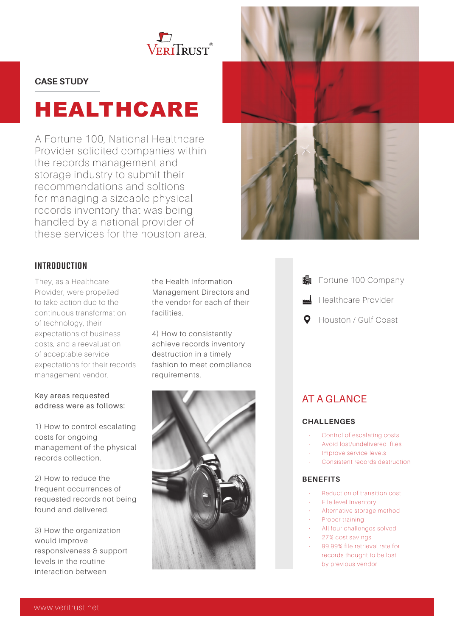

### **CASE STUDY**

# HEALTHCARE

A Fortune 100, National Healthcare Provider solicited companies within the records management and storage industry to submit their recommendations and soltions for managing a sizeable physical records inventory that was being handled by a national provider of these services for the houston area.

## INTRODUCTION

They, as a Healthcare Provider, were propelled to take action due to the continuous transformation of technology, their expectations of business costs, and a reevaluation of acceptable service expectations for their records management vendor.

#### Key areas requested address were as follows:

1) How to control escalating costs for ongoing management of the physical records collection.

2) How to reduce the frequent occurrences of requested records not being found and delivered.

3) How the organization would improve responsiveness & support levels in the routine interaction between

the Health Information Management Directors and the vendor for each of their facilities.

4) How to consistently achieve records inventory destruction in a timely fashion to meet compliance requirements.







- **的** Fortune 100 Company
- Healthcare Provider
- Houston / Gulf Coast  $\mathbf{O}$

# AT A GLANCE

#### **CHALLENGES**

- Control of escalating costs
- Avoid lost/undelivered files
- Improve service levels
- Consistent records destruction

#### **BENEFITS**

- Reduction of transition cost
- File level Inventory
	- Alternative storage method
	- Proper training
- All four challenges solved
- 27% cost savings
- 99.99% file retrieval rate for records thought to be lost by previous vendor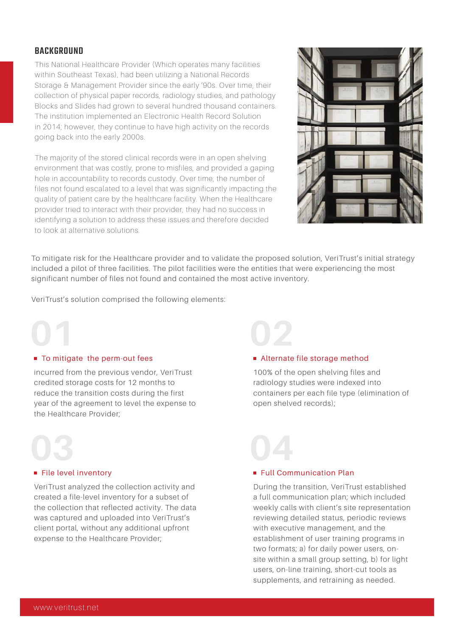## BACKGROUND

This National Healthcare Provider (Which operates many facilities within Southeast Texas), had been utilizing a National Records Storage & Management Provider since the early '90s. Over time, their collection of physical paper records, radiology studies, and pathology Blocks and Slides had grown to several hundred thousand containers. The institution implemented an Electronic Health Record Solution in 2014; however, they continue to have high activity on the records going back into the early 2000s.

The majority of the stored clinical records were in an open shelving environment that was costly, prone to misfiles, and provided a gaping hole in accountability to records custody. Over time, the number of files not found escalated to a level that was significantly impacting the quality of patient care by the healthcare facility. When the Healthcare provider tried to interact with their provider, they had no success in identifying a solution to address these issues and therefore decided to look at alternative solutions.



To mitigate risk for the Healthcare provider and to validate the proposed solution, VeriTrust's initial strategy included a pilot of three facilities. The pilot facilities were the entities that were experiencing the most significant number of files not found and contained the most active inventory.

VeriTrust's solution comprised the following elements:

# **01**

#### ■ To mitigate the perm-out fees

incurred from the previous vendor, VeriTrust credited storage costs for 12 months to reduce the transition costs during the first year of the agreement to level the expense to the Healthcare Provider;



#### File level inventory

VeriTrust analyzed the collection activity and created a file-level inventory for a subset of the collection that reflected activity. The data was captured and uploaded into VeriTrust's client portal, without any additional upfront expense to the Healthcare Provider;

# **02**

#### ■ Alternate file storage method

100% of the open shelving files and radiology studies were indexed into containers per each file type (elimination of open shelved records);

# **Full Communication Plan 04**

During the transition, VeriTrust established a full communication plan; which included weekly calls with client's site representation reviewing detailed status, periodic reviews with executive management, and the establishment of user training programs in two formats; a) for daily power users, onsite within a small group setting, b) for light users, on-line training, short-cut tools as supplements, and retraining as needed.